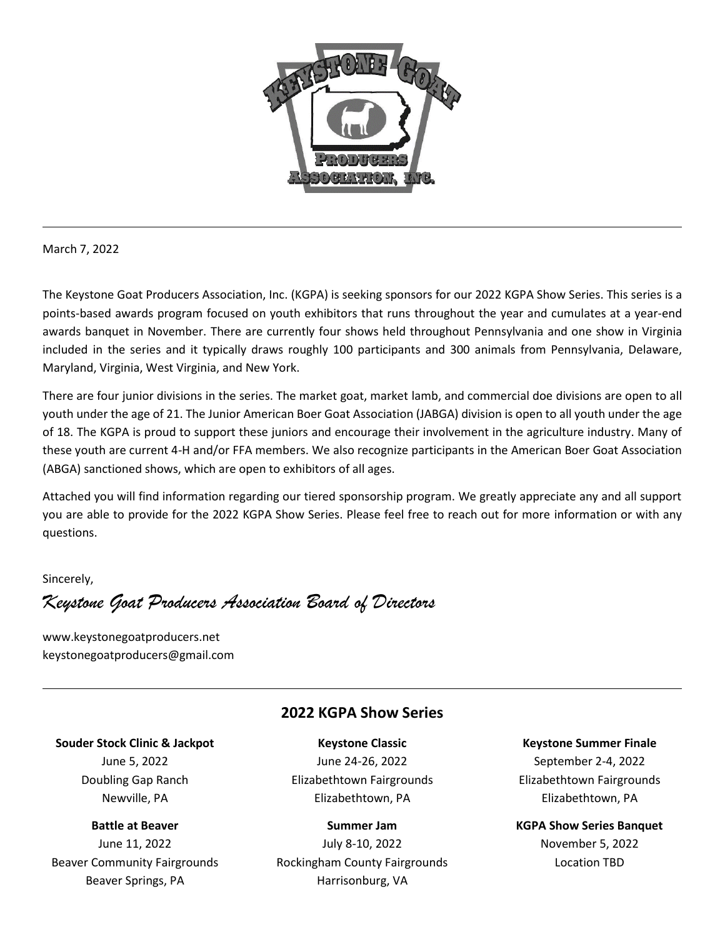

March 7, 2022

The Keystone Goat Producers Association, Inc. (KGPA) is seeking sponsors for our 2022 KGPA Show Series. This series is a points-based awards program focused on youth exhibitors that runs throughout the year and cumulates at a year-end awards banquet in November. There are currently four shows held throughout Pennsylvania and one show in Virginia included in the series and it typically draws roughly 100 participants and 300 animals from Pennsylvania, Delaware, Maryland, Virginia, West Virginia, and New York.

There are four junior divisions in the series. The market goat, market lamb, and commercial doe divisions are open to all youth under the age of 21. The Junior American Boer Goat Association (JABGA) division is open to all youth under the age of 18. The KGPA is proud to support these juniors and encourage their involvement in the agriculture industry. Many of these youth are current 4-H and/or FFA members. We also recognize participants in the American Boer Goat Association (ABGA) sanctioned shows, which are open to exhibitors of all ages.

Attached you will find information regarding our tiered sponsorship program. We greatly appreciate any and all support you are able to provide for the 2022 KGPA Show Series. Please feel free to reach out for more information or with any questions.

Sincerely,

*Keystone Goat Producers Association Board of Directors*

www.keystonegoatproducers.net keystonegoatproducers@gmail.com

## **2022 KGPA Show Series**

## **Souder Stock Clinic & Jackpot**

June 5, 2022 Doubling Gap Ranch Newville, PA

#### **Battle at Beaver**

June 11, 2022 Beaver Community Fairgrounds Beaver Springs, PA

**Keystone Classic** June 24-26, 2022 Elizabethtown Fairgrounds Elizabethtown, PA

#### **Summer Jam**

July 8-10, 2022 Rockingham County Fairgrounds Harrisonburg, VA

**Keystone Summer Finale** September 2-4, 2022 Elizabethtown Fairgrounds Elizabethtown, PA

**KGPA Show Series Banquet** November 5, 2022 Location TBD